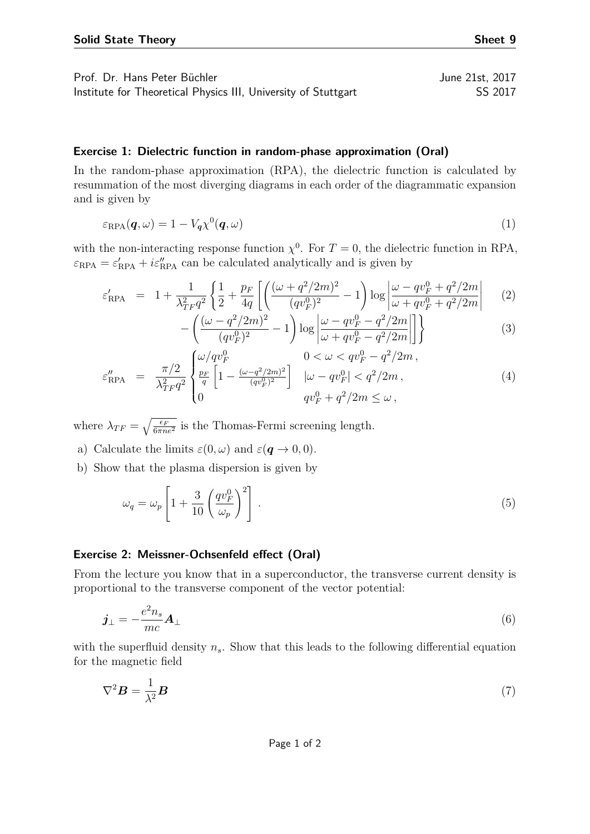## **Exercise 1: Dielectric function in random-phase approximation (Oral)**

In the random-phase approximation (RPA), the dielectric function is calculated by resummation of the most diverging diagrams in each order of the diagrammatic expansion and is given by

$$
\varepsilon_{\rm RPA}(\boldsymbol{q},\omega) = 1 - V_{\boldsymbol{q}} \chi^0(\boldsymbol{q},\omega) \tag{1}
$$

with the non-interacting response function  $\chi^0$ . For  $T=0$ , the dielectric function in RPA,  $\varepsilon_{\text{RPA}} = \varepsilon'_{\text{RPA}} + i\varepsilon''_{\text{RPA}}$  can be calculated analytically and is given by

$$
\varepsilon'_{\rm RPA} = 1 + \frac{1}{\lambda_{TF}^2 q^2} \left\{ \frac{1}{2} + \frac{p_F}{4q} \left[ \left( \frac{(\omega + q^2/2m)^2}{(qv_F^0)^2} - 1 \right) \log \left| \frac{\omega - qv_F^0 + q^2/2m}{\omega + qv_F^0 + q^2/2m} \right| \right] \right\} \tag{2}
$$

$$
-\left(\frac{(\omega - q^2/2m)^2}{(qv_F^0)^2} - 1\right) \log \left| \frac{\omega - qv_F^0 - q^2/2m}{\omega + qv_F^0 - q^2/2m} \right| \right\}
$$
(3)  

$$
\left(\frac{\omega}{qv_F^0}\right)^2 \qquad 0 < \omega < qv_F^0 - q^2/2m.
$$

$$
\varepsilon_{\rm RPA}'' = \frac{\pi/2}{\lambda_{TF}^2 q^2} \begin{cases} \omega/qv_F^0 & 0 < \omega < qv_F^0 - q^2/2m \,, \\ \frac{p_F}{q} \left[1 - \frac{(\omega - q^2/2m)^2}{(qv_F^0)^2}\right] & |\omega - qv_F^0| < q^2/2m \,, \\ 0 & qv_F^0 + q^2/2m \le \omega \,, \end{cases} \tag{4}
$$

where  $\lambda_{TF} = \sqrt{\frac{\epsilon_F}{6\pi n e^2}}$  is the Thomas-Fermi screening length.

- a) Calculate the limits  $\varepsilon(0,\omega)$  and  $\varepsilon(\mathbf{q}\to 0,0)$ .
- b) Show that the plasma dispersion is given by

$$
\omega_q = \omega_p \left[ 1 + \frac{3}{10} \left( \frac{qv_F^0}{\omega_p} \right)^2 \right]. \tag{5}
$$

## **Exercise 2: Meissner-Ochsenfeld effect (Oral)**

From the lecture you know that in a superconductor, the transverse current density is proportional to the transverse component of the vector potential:

$$
\mathbf{j}_{\perp} = -\frac{e^2 n_s}{mc} \mathbf{A}_{\perp} \tag{6}
$$

with the superfluid density  $n<sub>s</sub>$ . Show that this leads to the following differential equation for the magnetic field

$$
\nabla^2 \boldsymbol{B} = \frac{1}{\lambda^2} \boldsymbol{B} \tag{7}
$$